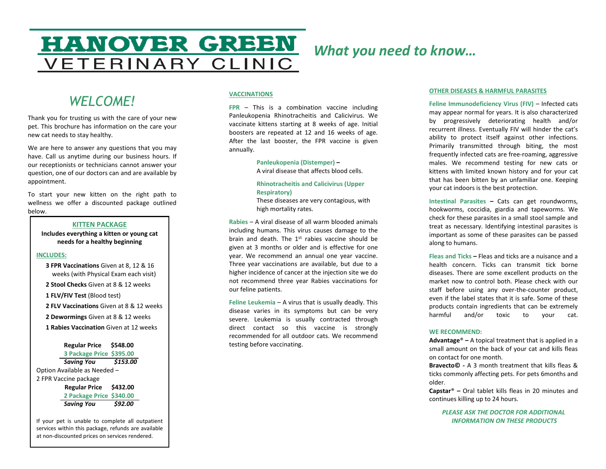# **HANOVER GREEN VETERINARY CLINIC**

# *What you need to know…*

# *WELCOME!*

Thank you for trusting us with the care of your new pet. This brochure has information on the care your new cat needs to stay healthy.

We are here to answer any questions that you may have. Call us anytime during our business hours. If our receptionists or technicians cannot answer your question, one of our doctors can and are available by appointment.

To start your new kitten on the right path to wellness we offer a discounted package outlined below.

## **KITTEN PACKAGE**

**Includes everything a kitten or young cat needs for a healthy beginning**

## **INCLUDES:**

- **3 FPR Vaccinations** Given at 8, 12 & 16 weeks (with Physical Exam each visit)
- **2 Stool Checks** Given at 8 & 12 weeks
- **1 FLV/FIV Test** (Blood test)
- **2 FLV Vaccinations** Given at 8 & 12 weeks
- **2 Dewormings** Given at 8 & 12 weeks
- **1 Rabies Vaccination** Given at 12 weeks

# **Regular Price \$548.00**

**3 Package Price \$395.00** *Saving You \$153.00* Option Available as Needed – 2 FPR Vaccine package  **Regular Price \$432.00 2 Package Price \$340.00** *Saving You \$92.00*

If your pet is unable to complete all outpatient services within this package, refunds are available at non-discounted prices on services rendered.

## **VACCINATIONS**

**FPR** – This is a combination vaccine including Panleukopenia Rhinotracheitis and Calicivirus. We vaccinate kittens starting at 8 weeks of age. Initial boosters are repeated at 12 and 16 weeks of age. After the last booster, the FPR vaccine is given annually.

> **Panleukopenia (Distemper) –** A viral disease that affects blood cells.

**Rhinotracheitis and Calicivirus (Upper Respiratory)** 

These diseases are very contagious, with high mortality rates.

**Rabies** – A viral disease of all warm blooded animals including humans. This virus causes damage to the brain and death. The 1st rabies vaccine should be given at 3 months or older and is effective for one year. We recommend an annual one year vaccine. Three year vaccinations are available, but due to a higher incidence of cancer at the injection site we do not recommend three year Rabies vaccinations for our feline patients.

**Feline Leukemia** – A virus that is usually deadly. This disease varies in its symptoms but can be very severe. Leukemia is usually contracted through direct contact so this vaccine is strongly recommended for all outdoor cats. We recommend testing before vaccinating.

#### **OTHER DISEASES & HARMFUL PARASITES**

Feline Immunodeficiency Virus (FIV) – Infected cats may appear normal for years. It is also characterized by progressively deteriorating health and/or recurrent illness. Eventually FIV will hinder the cat's ability to protect itself against other infections. Primarily transmitted through biting, the most frequently infected cats are free-roaming, aggressive males. We recommend testing for new cats or kittens with limited known history and for your cat that has been bitten by an unfamiliar one. Keeping your cat indoors is the best protection.

**Intestinal Parasites –** Cats can get roundworms, hookworms, coccidia, giardia and tapeworms. We check for these parasites in a small stool sample and treat as necessary. Identifying intestinal parasites is important as some of these parasites can be passed along to humans.

**Fleas and Ticks –** Fleas and ticks are a nuisance and a health concern. Ticks can transmit tick borne diseases. There are some excellent products on the market now to control both. Please check with our staff before using any over-the-counter product, even if the label states that it is safe. Some of these products contain ingredients that can be extremely harmful and/or toxic to your cat.

## **WE RECOMMEND:**

**Advantage**® **–** A topical treatment that is applied in a small amount on the back of your cat and kills fleas on contact for one month.

**Bravecto© -** A 3 month treatment that kills fleas & ticks commonly affecting pets. For pets 6months and older.

**Capstar**® **–** Oral tablet kills fleas in 20 minutes and continues killing up to 24 hours.

*PLEASE ASK THE DOCTOR FOR ADDITIONAL INFORMATION ON THESE PRODUCTS*